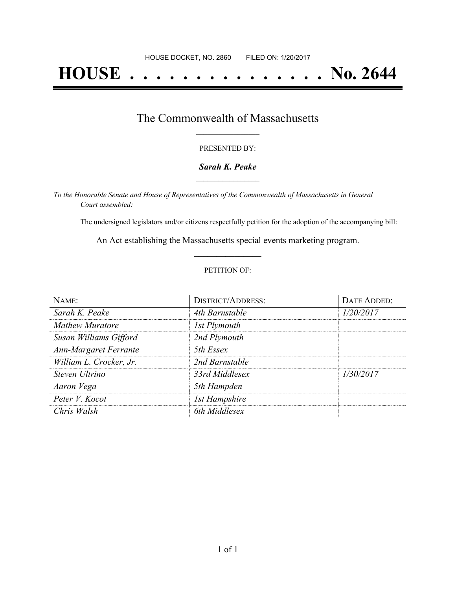# **HOUSE . . . . . . . . . . . . . . . No. 2644**

## The Commonwealth of Massachusetts **\_\_\_\_\_\_\_\_\_\_\_\_\_\_\_\_\_**

#### PRESENTED BY:

#### *Sarah K. Peake* **\_\_\_\_\_\_\_\_\_\_\_\_\_\_\_\_\_**

*To the Honorable Senate and House of Representatives of the Commonwealth of Massachusetts in General Court assembled:*

The undersigned legislators and/or citizens respectfully petition for the adoption of the accompanying bill:

An Act establishing the Massachusetts special events marketing program. **\_\_\_\_\_\_\_\_\_\_\_\_\_\_\_**

#### PETITION OF:

| NAME:                   | <b>DISTRICT/ADDRESS:</b> | <b>DATE ADDED:</b> |
|-------------------------|--------------------------|--------------------|
| Sarah K. Peake          | 4th Barnstable           | 1/20/2017          |
| <b>Mathew Muratore</b>  | 1st Plymouth             |                    |
| Susan Williams Gifford  | 2nd Plymouth             |                    |
| Ann-Margaret Ferrante   | 5th Essex                |                    |
| William L. Crocker, Jr. | 2nd Barnstable           |                    |
| Steven Ultrino          | 33rd Middlesex           | 1/30/2017          |
| Aaron Vega              | 5th Hampden              |                    |
| Peter V. Kocot          | <b>1st Hampshire</b>     |                    |
| Chris Walsh             | 6th Middlesex            |                    |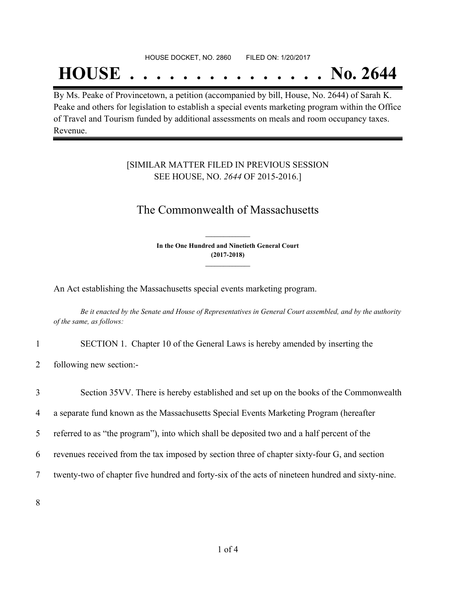## **HOUSE . . . . . . . . . . . . . . . No. 2644**

By Ms. Peake of Provincetown, a petition (accompanied by bill, House, No. 2644) of Sarah K. Peake and others for legislation to establish a special events marketing program within the Office of Travel and Tourism funded by additional assessments on meals and room occupancy taxes. Revenue.

### [SIMILAR MATTER FILED IN PREVIOUS SESSION SEE HOUSE, NO. *2644* OF 2015-2016.]

## The Commonwealth of Massachusetts

**In the One Hundred and Ninetieth General Court (2017-2018) \_\_\_\_\_\_\_\_\_\_\_\_\_\_\_**

**\_\_\_\_\_\_\_\_\_\_\_\_\_\_\_**

An Act establishing the Massachusetts special events marketing program.

Be it enacted by the Senate and House of Representatives in General Court assembled, and by the authority *of the same, as follows:*

- 1 SECTION 1. Chapter 10 of the General Laws is hereby amended by inserting the
- 2 following new section:-

3 Section 35VV. There is hereby established and set up on the books of the Commonwealth

4 a separate fund known as the Massachusetts Special Events Marketing Program (hereafter

5 referred to as "the program"), into which shall be deposited two and a half percent of the

6 revenues received from the tax imposed by section three of chapter sixty-four G, and section

7 twenty-two of chapter five hundred and forty-six of the acts of nineteen hundred and sixty-nine.

8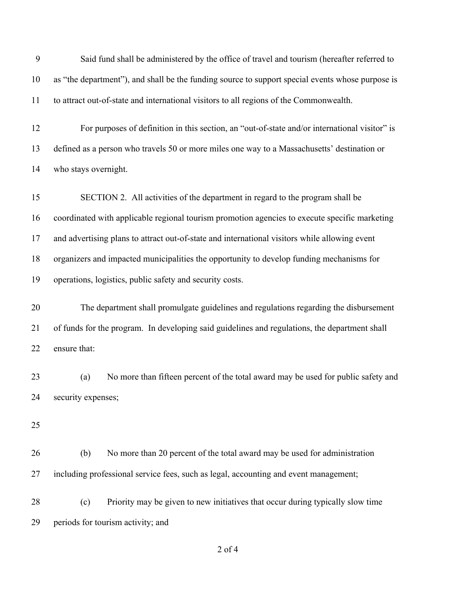| 9  | Said fund shall be administered by the office of travel and tourism (hereafter referred to       |
|----|--------------------------------------------------------------------------------------------------|
| 10 | as "the department"), and shall be the funding source to support special events whose purpose is |
| 11 | to attract out-of-state and international visitors to all regions of the Commonwealth.           |
| 12 | For purposes of definition in this section, an "out-of-state and/or international visitor" is    |
| 13 | defined as a person who travels 50 or more miles one way to a Massachusetts' destination or      |
| 14 | who stays overnight.                                                                             |
| 15 | SECTION 2. All activities of the department in regard to the program shall be                    |
| 16 | coordinated with applicable regional tourism promotion agencies to execute specific marketing    |
| 17 | and advertising plans to attract out-of-state and international visitors while allowing event    |
| 18 | organizers and impacted municipalities the opportunity to develop funding mechanisms for         |
| 19 | operations, logistics, public safety and security costs.                                         |
| 20 | The department shall promulgate guidelines and regulations regarding the disbursement            |
| 21 | of funds for the program. In developing said guidelines and regulations, the department shall    |
| 22 | ensure that:                                                                                     |
| 23 | No more than fifteen percent of the total award may be used for public safety and<br>(a)         |
| 24 | security expenses;                                                                               |
| 25 |                                                                                                  |
| 26 | No more than 20 percent of the total award may be used for administration<br>(b)                 |
| 27 | including professional service fees, such as legal, accounting and event management;             |
| 28 | Priority may be given to new initiatives that occur during typically slow time<br>(c)            |
| 29 | periods for tourism activity; and                                                                |
|    | $2$ of $4$                                                                                       |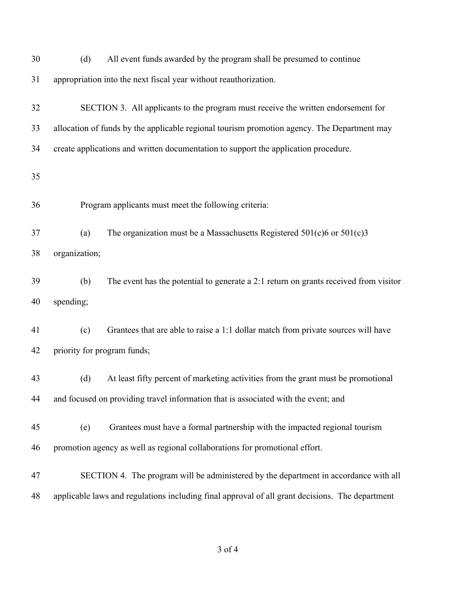| 30 | All event funds awarded by the program shall be presumed to continue<br>(d)                     |
|----|-------------------------------------------------------------------------------------------------|
| 31 | appropriation into the next fiscal year without reauthorization.                                |
| 32 | SECTION 3. All applicants to the program must receive the written endorsement for               |
| 33 | allocation of funds by the applicable regional tourism promotion agency. The Department may     |
| 34 | create applications and written documentation to support the application procedure.             |
| 35 |                                                                                                 |
| 36 | Program applicants must meet the following criteria:                                            |
| 37 | The organization must be a Massachusetts Registered $501(c)6$ or $501(c)3$<br>(a)               |
| 38 | organization;                                                                                   |
| 39 | The event has the potential to generate a 2:1 return on grants received from visitor<br>(b)     |
| 40 | spending;                                                                                       |
| 41 | Grantees that are able to raise a 1:1 dollar match from private sources will have<br>(c)        |
| 42 | priority for program funds;                                                                     |
| 43 | At least fifty percent of marketing activities from the grant must be promotional<br>(d)        |
| 44 | and focused on providing travel information that is associated with the event; and              |
| 45 | Grantees must have a formal partnership with the impacted regional tourism<br>(e)               |
| 46 | promotion agency as well as regional collaborations for promotional effort.                     |
| 47 | SECTION 4. The program will be administered by the department in accordance with all            |
| 48 | applicable laws and regulations including final approval of all grant decisions. The department |